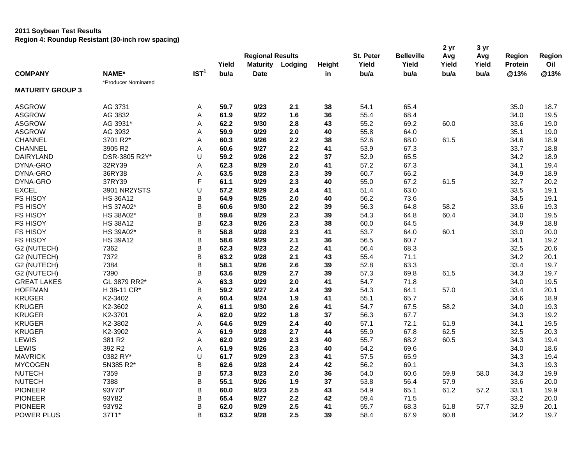|                         |                     |                  | Yield | <b>Regional Results</b><br><b>Maturity</b> | Lodging | Height | St. Peter<br>Yield | <b>Belleville</b><br>Yield | 2 yr<br>Avg<br>Yield | 3 yr<br>Avg<br>Yield | Region<br><b>Protein</b> | Region<br>Oil |
|-------------------------|---------------------|------------------|-------|--------------------------------------------|---------|--------|--------------------|----------------------------|----------------------|----------------------|--------------------------|---------------|
| <b>COMPANY</b>          | NAME*               | IST <sup>1</sup> | bu/a  | <b>Date</b>                                |         | in     | bu/a               | bu/a                       | bu/a                 | bu/a                 | @13%                     | @13%          |
|                         | *Producer Nominated |                  |       |                                            |         |        |                    |                            |                      |                      |                          |               |
| <b>MATURITY GROUP 3</b> |                     |                  |       |                                            |         |        |                    |                            |                      |                      |                          |               |
| <b>ASGROW</b>           | AG 3731             | Α                | 59.7  | 9/23                                       | 2.1     | 38     | 54.1               | 65.4                       |                      |                      | 35.0                     | 18.7          |
| <b>ASGROW</b>           | AG 3832             | Α                | 61.9  | 9/22                                       | 1.6     | 36     | 55.4               | 68.4                       |                      |                      | 34.0                     | 19.5          |
| <b>ASGROW</b>           | AG 3931*            | Α                | 62.2  | 9/30                                       | 2.8     | 43     | 55.2               | 69.2                       | 60.0                 |                      | 33.6                     | 19.0          |
| <b>ASGROW</b>           | AG 3932             | A                | 59.9  | 9/29                                       | 2.0     | 40     | 55.8               | 64.0                       |                      |                      | 35.1                     | 19.0          |
| CHANNEL                 | 3701 R2*            | Α                | 60.3  | 9/26                                       | 2.2     | 38     | 52.6               | 68.0                       | 61.5                 |                      | 34.6                     | 18.9          |
| <b>CHANNEL</b>          | 3905 R2             | A                | 60.6  | 9/27                                       | 2.2     | 41     | 53.9               | 67.3                       |                      |                      | 33.7                     | 18.8          |
| <b>DAIRYLAND</b>        | DSR-3805 R2Y*       | U                | 59.2  | 9/26                                       | 2.2     | 37     | 52.9               | 65.5                       |                      |                      | 34.2                     | 18.9          |
| DYNA-GRO                | 32RY39              | Α                | 62.3  | 9/29                                       | 2.0     | 41     | 57.2               | 67.3                       |                      |                      | 34.1                     | 19.4          |
| DYNA-GRO                | 36RY38              | Α                | 63.5  | 9/28                                       | 2.3     | 39     | 60.7               | 66.2                       |                      |                      | 34.9                     | 18.9          |
| DYNA-GRO                | 37RY39              | F                | 61.1  | 9/29                                       | 2.3     | 40     | 55.0               | 67.2                       | 61.5                 |                      | 32.7                     | 20.2          |
| <b>EXCEL</b>            | 3901 NR2YSTS        | U                | 57.2  | 9/29                                       | 2.4     | 41     | 51.4               | 63.0                       |                      |                      | 33.5                     | 19.1          |
| <b>FS HISOY</b>         | <b>HS 36A12</b>     | B                | 64.9  | 9/25                                       | 2.0     | 40     | 56.2               | 73.6                       |                      |                      | 34.5                     | 19.1          |
| <b>FS HISOY</b>         | HS 37A02*           | B                | 60.6  | 9/30                                       | 2.2     | 39     | 56.3               | 64.8                       | 58.2                 |                      | 33.6                     | 19.3          |
| <b>FS HISOY</b>         | HS 38A02*           | B                | 59.6  | 9/29                                       | 2.3     | 39     | 54.3               | 64.8                       | 60.4                 |                      | 34.0                     | 19.5          |
| <b>FS HISOY</b>         | <b>HS 38A12</b>     | B                | 62.3  | 9/26                                       | 2.3     | 38     | 60.0               | 64.5                       |                      |                      | 34.9                     | 18.8          |
| <b>FS HISOY</b>         | HS 39A02*           | B                | 58.8  | 9/28                                       | 2.3     | 41     | 53.7               | 64.0                       | 60.1                 |                      | 33.0                     | 20.0          |
| <b>FS HISOY</b>         | <b>HS 39A12</b>     | B                | 58.6  | 9/29                                       | 2.1     | 36     | 56.5               | 60.7                       |                      |                      | 34.1                     | 19.2          |
| G2 (NUTECH)             | 7362                | B                | 62.3  | 9/23                                       | 2.2     | 41     | 56.4               | 68.3                       |                      |                      | 32.5                     | 20.6          |
| G2 (NUTECH)             | 7372                | B                | 63.2  | 9/28                                       | 2.1     | 43     | 55.4               | 71.1                       |                      |                      | 34.2                     | 20.1          |
| G2 (NUTECH)             | 7384                | B                | 58.1  | 9/26                                       | 2.6     | 39     | 52.8               | 63.3                       |                      |                      | 33.4                     | 19.7          |
| G2 (NUTECH)             | 7390                | B                | 63.6  | 9/29                                       | 2.7     | 39     | 57.3               | 69.8                       | 61.5                 |                      | 34.3                     | 19.7          |
| <b>GREAT LAKES</b>      | GL 3879 RR2*        | Α                | 63.3  | 9/29                                       | 2.0     | 41     | 54.7               | 71.8                       |                      |                      | 34.0                     | 19.5          |
| <b>HOFFMAN</b>          | H 38-11 CR*         | B                | 59.2  | 9/27                                       | 2.4     | 39     | 54.3               | 64.1                       | 57.0                 |                      | 33.4                     | 20.1          |
| <b>KRUGER</b>           | K2-3402             | Α                | 60.4  | 9/24                                       | 1.9     | 41     | 55.1               | 65.7                       |                      |                      | 34.6                     | 18.9          |
| <b>KRUGER</b>           | K2-3602             | A                | 61.1  | 9/30                                       | 2.6     | 41     | 54.7               | 67.5                       | 58.2                 |                      | 34.0                     | 19.3          |
| <b>KRUGER</b>           | K2-3701             | Α                | 62.0  | 9/22                                       | 1.8     | 37     | 56.3               | 67.7                       |                      |                      | 34.3                     | 19.2          |
| <b>KRUGER</b>           | K2-3802             | Α                | 64.6  | 9/29                                       | 2.4     | 40     | 57.1               | 72.1                       | 61.9                 |                      | 34.1                     | 19.5          |
| <b>KRUGER</b>           | K2-3902             | A                | 61.9  | 9/28                                       | 2.7     | 44     | 55.9               | 67.8                       | 62.5                 |                      | 32.5                     | 20.3          |
| LEWIS                   | 381 R2              | Α                | 62.0  | 9/29                                       | 2.3     | 40     | 55.7               | 68.2                       | 60.5                 |                      | 34.3                     | 19.4          |
| LEWIS                   | 392 R2              | A                | 61.9  | 9/26                                       | 2.3     | 40     | 54.2               | 69.6                       |                      |                      | 34.0                     | 18.6          |
| <b>MAVRICK</b>          | 0382 RY*            | U                | 61.7  | 9/29                                       | 2.3     | 41     | 57.5               | 65.9                       |                      |                      | 34.3                     | 19.4          |
| <b>MYCOGEN</b>          | 5N385 R2*           | B                | 62.6  | 9/28                                       | 2.4     | 42     | 56.2               | 69.1                       |                      |                      | 34.3                     | 19.3          |
| <b>NUTECH</b>           | 7359                | B                | 57.3  | 9/23                                       | 2.0     | 36     | 54.0               | 60.6                       | 59.9                 | 58.0                 | 34.3                     | 19.9          |
| <b>NUTECH</b>           | 7388                | B                | 55.1  | 9/26                                       | 1.9     | 37     | 53.8               | 56.4                       | 57.9                 |                      | 33.6                     | 20.0          |
| <b>PIONEER</b>          | 93Y70*              | B                | 60.0  | 9/23                                       | 2.5     | 43     | 54.9               | 65.1                       | 61.2                 | 57.2                 | 33.1                     | 19.9          |
| <b>PIONEER</b>          | 93Y82               | B                | 65.4  | 9/27                                       | 2.2     | 42     | 59.4               | 71.5                       |                      |                      | 33.2                     | 20.0          |
| <b>PIONEER</b>          | 93Y92               | B                | 62.0  | 9/29                                       | 2.5     | 41     | 55.7               | 68.3                       | 61.8                 | 57.7                 | 32.9                     | 20.1          |
| <b>POWER PLUS</b>       | 37T1*               | B                | 63.2  | 9/28                                       | 2.5     | 39     | 58.4               | 67.9                       | 60.8                 |                      | 34.2                     | 19.7          |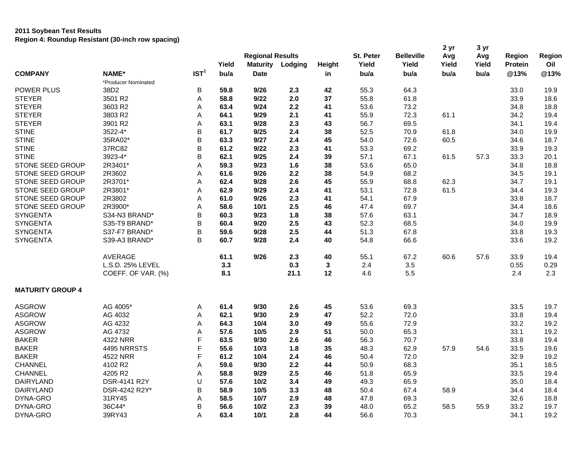| IST <sup>1</sup><br>NAME*<br>bu/a<br>@13%<br>@13%<br><b>COMPANY</b><br>bu/a<br>bu/a<br>bu/a<br>bu/a<br><b>Date</b><br>in<br>*Producer Nominated<br>B<br>64.3<br>38D2<br>59.8<br>9/26<br>2.3<br>42<br>55.3<br>19.9<br><b>POWER PLUS</b><br>33.0<br>37<br>55.8<br>61.8<br><b>STEYER</b><br>3501 R2<br>58.8<br>9/22<br>2.0<br>33.9<br>18.6<br>Α<br><b>STEYER</b><br>3603 R2<br>2.2<br>41<br>53.6<br>18.8<br>63.4<br>9/24<br>73.2<br>34.8<br>Α<br><b>STEYER</b><br>3803 R2<br>64.1<br>9/29<br>2.1<br>41<br>55.9<br>72.3<br>61.1<br>19.4<br>Α<br>34.2<br><b>STEYER</b><br>3901 R2<br>9/28<br>2.3<br>56.7<br>69.5<br>19.4<br>63.1<br>43<br>34.1<br>Α<br>B<br><b>STINE</b><br>3522-4*<br>61.7<br>9/25<br>2.4<br>38<br>52.5<br>70.9<br>61.8<br>19.9<br>34.0<br>B<br><b>STINE</b><br>35RA02*<br>63.3<br>9/27<br>2.4<br>45<br>54.0<br>72.6<br>60.5<br>18.7<br>34.6<br>37RC82<br>B<br><b>STINE</b><br>61.2<br>9/22<br>2.3<br>41<br>53.3<br>69.2<br>33.9<br>19.3<br>B<br>57.1<br><b>STINE</b><br>3923-4*<br>9/25<br>2.4<br>39<br>67.1<br>61.5<br>57.3<br>20.1<br>62.1<br>33.3<br>STONE SEED GROUP<br>2R3401*<br>59.3<br>9/23<br>1.6<br>38<br>53.6<br>65.0<br>18.8<br>Α<br>34.8<br>STONE SEED GROUP<br>2R3602<br>61.6<br>9/26<br>2.2<br>38<br>54.9<br>68.2<br>19.1<br>Α<br>34.5<br>2.6<br>STONE SEED GROUP<br>2R3701*<br>45<br>55.9<br>68.8<br>62.3<br>19.1<br>Α<br>62.4<br>9/28<br>34.7<br>53.1<br>61.5<br>STONE SEED GROUP<br>2R3801*<br>62.9<br>9/29<br>2.4<br>41<br>72.8<br>19.3<br>A<br>34.4<br>STONE SEED GROUP<br>2R3802<br>61.0<br>9/26<br>2.3<br>41<br>54.1<br>67.9<br>18.7<br>Α<br>33.8<br>STONE SEED GROUP<br>2R3900*<br>2.5<br>46<br>47.4<br>69.7<br>A<br>58.6<br>10/1<br>34.4<br>18.6<br><b>SYNGENTA</b><br>S34-N3 BRAND*<br>B<br>9/23<br>1.8<br>38<br>57.6<br>63.1<br>18.9<br>60.3<br>34.7<br>B<br><b>SYNGENTA</b><br>2.5<br>43<br>52.3<br>68.5<br>19.9<br>S35-T9 BRAND*<br>60.4<br>9/20<br>34.0<br><b>SYNGENTA</b><br>B<br>S37-F7 BRAND*<br>59.6<br>9/28<br>2.5<br>44<br>51.3<br>67.8<br>33.8<br>19.3<br>B<br><b>SYNGENTA</b><br>S39-A3 BRAND*<br>60.7<br>9/28<br>2.4<br>40<br>54.8<br>66.6<br>33.6<br>19.2<br>9/26<br><b>AVERAGE</b><br>61.1<br>2.3<br>40<br>55.1<br>67.2<br>60.6<br>57.6<br>33.9<br>19.4<br>3.3<br>3.5<br>0.29<br>L.S.D. 25% LEVEL<br>0.3<br>3<br>2.4<br>0.55<br>8.1<br>12<br>2.3<br>COEFF. OF VAR. (%)<br>21.1<br>4.6<br>5.5<br>2.4<br><b>MATURITY GROUP 4</b><br>9/30<br><b>ASGROW</b><br>AG 4005*<br>61.4<br>2.6<br>45<br>53.6<br>69.3<br>33.5<br>19.7<br>Α<br><b>ASGROW</b><br>62.1<br>9/30<br>2.9<br>47<br>52.2<br>72.0<br>19.4<br>AG 4032<br>Α<br>33.8<br><b>ASGROW</b><br>AG 4232<br>49<br>55.6<br>72.9<br>19.2<br>64.3<br>10/4<br>3.0<br>33.2<br>Α<br><b>ASGROW</b><br>AG 4732<br>57.6<br>10/5<br>2.9<br>51<br>50.0<br>65.3<br>19.2<br>A<br>33.1<br><b>BAKER</b><br>F<br>63.5<br>2.6<br>46<br>56.3<br>70.7<br>19.4<br>4322 NRR<br>9/30<br>33.8<br>F<br>35<br>57.9<br><b>BAKER</b><br>4495 NRRSTS<br>55.6<br>10/3<br>1.8<br>48.3<br>62.9<br>54.6<br>33.5<br>19.6<br>F<br>19.2<br><b>BAKER</b><br>4522 NRR<br>61.2<br>10/4<br>2.4<br>46<br>50.4<br>72.0<br>32.9<br>59.6<br>2.2<br>50.9<br>68.3<br>18.5<br>CHANNEL<br>4102 R2<br>9/30<br>44<br>35.1<br>A<br><b>CHANNEL</b><br>4205 R2<br>58.8<br>9/29<br>2.5<br>46<br>51.8<br>65.9<br>33.5<br>19.4<br>Α<br><b>DAIRYLAND</b><br>U<br>49.3<br>DSR-4141 R2Y<br>57.6<br>10/2<br>3.4<br>49<br>65.9<br>35.0<br>18.4<br><b>DAIRYLAND</b><br>DSR-4242 R2Y*<br>В<br>58.9<br>10/5<br>3.3<br>48<br>50.4<br>67.4<br>58.9<br>18.4<br>34.4 |          |        |   | Yield | <b>Regional Results</b><br><b>Maturity</b> | Lodging | Height | <b>St. Peter</b><br>Yield | <b>Belleville</b><br>Yield | 2 yr<br>Avg<br>Yield | 3 yr<br>Avg<br>Yield | Region<br>Protein | Region<br>Oil |
|-------------------------------------------------------------------------------------------------------------------------------------------------------------------------------------------------------------------------------------------------------------------------------------------------------------------------------------------------------------------------------------------------------------------------------------------------------------------------------------------------------------------------------------------------------------------------------------------------------------------------------------------------------------------------------------------------------------------------------------------------------------------------------------------------------------------------------------------------------------------------------------------------------------------------------------------------------------------------------------------------------------------------------------------------------------------------------------------------------------------------------------------------------------------------------------------------------------------------------------------------------------------------------------------------------------------------------------------------------------------------------------------------------------------------------------------------------------------------------------------------------------------------------------------------------------------------------------------------------------------------------------------------------------------------------------------------------------------------------------------------------------------------------------------------------------------------------------------------------------------------------------------------------------------------------------------------------------------------------------------------------------------------------------------------------------------------------------------------------------------------------------------------------------------------------------------------------------------------------------------------------------------------------------------------------------------------------------------------------------------------------------------------------------------------------------------------------------------------------------------------------------------------------------------------------------------------------------------------------------------------------------------------------------------------------------------------------------------------------------------------------------------------------------------------------------------------------------------------------------------------------------------------------------------------------------------------------------------------------------------------------------------------------------------------------------------------------------------------------------------------------------------------------------------------------------------------------------------------------------------------------------------------------------------------------------------------------------------------------------------------------------------------------------------------------------------------------------------------------------------------------|----------|--------|---|-------|--------------------------------------------|---------|--------|---------------------------|----------------------------|----------------------|----------------------|-------------------|---------------|
|                                                                                                                                                                                                                                                                                                                                                                                                                                                                                                                                                                                                                                                                                                                                                                                                                                                                                                                                                                                                                                                                                                                                                                                                                                                                                                                                                                                                                                                                                                                                                                                                                                                                                                                                                                                                                                                                                                                                                                                                                                                                                                                                                                                                                                                                                                                                                                                                                                                                                                                                                                                                                                                                                                                                                                                                                                                                                                                                                                                                                                                                                                                                                                                                                                                                                                                                                                                                                                                                                                       |          |        |   |       |                                            |         |        |                           |                            |                      |                      |                   |               |
|                                                                                                                                                                                                                                                                                                                                                                                                                                                                                                                                                                                                                                                                                                                                                                                                                                                                                                                                                                                                                                                                                                                                                                                                                                                                                                                                                                                                                                                                                                                                                                                                                                                                                                                                                                                                                                                                                                                                                                                                                                                                                                                                                                                                                                                                                                                                                                                                                                                                                                                                                                                                                                                                                                                                                                                                                                                                                                                                                                                                                                                                                                                                                                                                                                                                                                                                                                                                                                                                                                       |          |        |   |       |                                            |         |        |                           |                            |                      |                      |                   |               |
|                                                                                                                                                                                                                                                                                                                                                                                                                                                                                                                                                                                                                                                                                                                                                                                                                                                                                                                                                                                                                                                                                                                                                                                                                                                                                                                                                                                                                                                                                                                                                                                                                                                                                                                                                                                                                                                                                                                                                                                                                                                                                                                                                                                                                                                                                                                                                                                                                                                                                                                                                                                                                                                                                                                                                                                                                                                                                                                                                                                                                                                                                                                                                                                                                                                                                                                                                                                                                                                                                                       |          |        |   |       |                                            |         |        |                           |                            |                      |                      |                   |               |
|                                                                                                                                                                                                                                                                                                                                                                                                                                                                                                                                                                                                                                                                                                                                                                                                                                                                                                                                                                                                                                                                                                                                                                                                                                                                                                                                                                                                                                                                                                                                                                                                                                                                                                                                                                                                                                                                                                                                                                                                                                                                                                                                                                                                                                                                                                                                                                                                                                                                                                                                                                                                                                                                                                                                                                                                                                                                                                                                                                                                                                                                                                                                                                                                                                                                                                                                                                                                                                                                                                       |          |        |   |       |                                            |         |        |                           |                            |                      |                      |                   |               |
|                                                                                                                                                                                                                                                                                                                                                                                                                                                                                                                                                                                                                                                                                                                                                                                                                                                                                                                                                                                                                                                                                                                                                                                                                                                                                                                                                                                                                                                                                                                                                                                                                                                                                                                                                                                                                                                                                                                                                                                                                                                                                                                                                                                                                                                                                                                                                                                                                                                                                                                                                                                                                                                                                                                                                                                                                                                                                                                                                                                                                                                                                                                                                                                                                                                                                                                                                                                                                                                                                                       |          |        |   |       |                                            |         |        |                           |                            |                      |                      |                   |               |
|                                                                                                                                                                                                                                                                                                                                                                                                                                                                                                                                                                                                                                                                                                                                                                                                                                                                                                                                                                                                                                                                                                                                                                                                                                                                                                                                                                                                                                                                                                                                                                                                                                                                                                                                                                                                                                                                                                                                                                                                                                                                                                                                                                                                                                                                                                                                                                                                                                                                                                                                                                                                                                                                                                                                                                                                                                                                                                                                                                                                                                                                                                                                                                                                                                                                                                                                                                                                                                                                                                       |          |        |   |       |                                            |         |        |                           |                            |                      |                      |                   |               |
|                                                                                                                                                                                                                                                                                                                                                                                                                                                                                                                                                                                                                                                                                                                                                                                                                                                                                                                                                                                                                                                                                                                                                                                                                                                                                                                                                                                                                                                                                                                                                                                                                                                                                                                                                                                                                                                                                                                                                                                                                                                                                                                                                                                                                                                                                                                                                                                                                                                                                                                                                                                                                                                                                                                                                                                                                                                                                                                                                                                                                                                                                                                                                                                                                                                                                                                                                                                                                                                                                                       |          |        |   |       |                                            |         |        |                           |                            |                      |                      |                   |               |
|                                                                                                                                                                                                                                                                                                                                                                                                                                                                                                                                                                                                                                                                                                                                                                                                                                                                                                                                                                                                                                                                                                                                                                                                                                                                                                                                                                                                                                                                                                                                                                                                                                                                                                                                                                                                                                                                                                                                                                                                                                                                                                                                                                                                                                                                                                                                                                                                                                                                                                                                                                                                                                                                                                                                                                                                                                                                                                                                                                                                                                                                                                                                                                                                                                                                                                                                                                                                                                                                                                       |          |        |   |       |                                            |         |        |                           |                            |                      |                      |                   |               |
|                                                                                                                                                                                                                                                                                                                                                                                                                                                                                                                                                                                                                                                                                                                                                                                                                                                                                                                                                                                                                                                                                                                                                                                                                                                                                                                                                                                                                                                                                                                                                                                                                                                                                                                                                                                                                                                                                                                                                                                                                                                                                                                                                                                                                                                                                                                                                                                                                                                                                                                                                                                                                                                                                                                                                                                                                                                                                                                                                                                                                                                                                                                                                                                                                                                                                                                                                                                                                                                                                                       |          |        |   |       |                                            |         |        |                           |                            |                      |                      |                   |               |
|                                                                                                                                                                                                                                                                                                                                                                                                                                                                                                                                                                                                                                                                                                                                                                                                                                                                                                                                                                                                                                                                                                                                                                                                                                                                                                                                                                                                                                                                                                                                                                                                                                                                                                                                                                                                                                                                                                                                                                                                                                                                                                                                                                                                                                                                                                                                                                                                                                                                                                                                                                                                                                                                                                                                                                                                                                                                                                                                                                                                                                                                                                                                                                                                                                                                                                                                                                                                                                                                                                       |          |        |   |       |                                            |         |        |                           |                            |                      |                      |                   |               |
|                                                                                                                                                                                                                                                                                                                                                                                                                                                                                                                                                                                                                                                                                                                                                                                                                                                                                                                                                                                                                                                                                                                                                                                                                                                                                                                                                                                                                                                                                                                                                                                                                                                                                                                                                                                                                                                                                                                                                                                                                                                                                                                                                                                                                                                                                                                                                                                                                                                                                                                                                                                                                                                                                                                                                                                                                                                                                                                                                                                                                                                                                                                                                                                                                                                                                                                                                                                                                                                                                                       |          |        |   |       |                                            |         |        |                           |                            |                      |                      |                   |               |
|                                                                                                                                                                                                                                                                                                                                                                                                                                                                                                                                                                                                                                                                                                                                                                                                                                                                                                                                                                                                                                                                                                                                                                                                                                                                                                                                                                                                                                                                                                                                                                                                                                                                                                                                                                                                                                                                                                                                                                                                                                                                                                                                                                                                                                                                                                                                                                                                                                                                                                                                                                                                                                                                                                                                                                                                                                                                                                                                                                                                                                                                                                                                                                                                                                                                                                                                                                                                                                                                                                       |          |        |   |       |                                            |         |        |                           |                            |                      |                      |                   |               |
|                                                                                                                                                                                                                                                                                                                                                                                                                                                                                                                                                                                                                                                                                                                                                                                                                                                                                                                                                                                                                                                                                                                                                                                                                                                                                                                                                                                                                                                                                                                                                                                                                                                                                                                                                                                                                                                                                                                                                                                                                                                                                                                                                                                                                                                                                                                                                                                                                                                                                                                                                                                                                                                                                                                                                                                                                                                                                                                                                                                                                                                                                                                                                                                                                                                                                                                                                                                                                                                                                                       |          |        |   |       |                                            |         |        |                           |                            |                      |                      |                   |               |
|                                                                                                                                                                                                                                                                                                                                                                                                                                                                                                                                                                                                                                                                                                                                                                                                                                                                                                                                                                                                                                                                                                                                                                                                                                                                                                                                                                                                                                                                                                                                                                                                                                                                                                                                                                                                                                                                                                                                                                                                                                                                                                                                                                                                                                                                                                                                                                                                                                                                                                                                                                                                                                                                                                                                                                                                                                                                                                                                                                                                                                                                                                                                                                                                                                                                                                                                                                                                                                                                                                       |          |        |   |       |                                            |         |        |                           |                            |                      |                      |                   |               |
|                                                                                                                                                                                                                                                                                                                                                                                                                                                                                                                                                                                                                                                                                                                                                                                                                                                                                                                                                                                                                                                                                                                                                                                                                                                                                                                                                                                                                                                                                                                                                                                                                                                                                                                                                                                                                                                                                                                                                                                                                                                                                                                                                                                                                                                                                                                                                                                                                                                                                                                                                                                                                                                                                                                                                                                                                                                                                                                                                                                                                                                                                                                                                                                                                                                                                                                                                                                                                                                                                                       |          |        |   |       |                                            |         |        |                           |                            |                      |                      |                   |               |
|                                                                                                                                                                                                                                                                                                                                                                                                                                                                                                                                                                                                                                                                                                                                                                                                                                                                                                                                                                                                                                                                                                                                                                                                                                                                                                                                                                                                                                                                                                                                                                                                                                                                                                                                                                                                                                                                                                                                                                                                                                                                                                                                                                                                                                                                                                                                                                                                                                                                                                                                                                                                                                                                                                                                                                                                                                                                                                                                                                                                                                                                                                                                                                                                                                                                                                                                                                                                                                                                                                       |          |        |   |       |                                            |         |        |                           |                            |                      |                      |                   |               |
|                                                                                                                                                                                                                                                                                                                                                                                                                                                                                                                                                                                                                                                                                                                                                                                                                                                                                                                                                                                                                                                                                                                                                                                                                                                                                                                                                                                                                                                                                                                                                                                                                                                                                                                                                                                                                                                                                                                                                                                                                                                                                                                                                                                                                                                                                                                                                                                                                                                                                                                                                                                                                                                                                                                                                                                                                                                                                                                                                                                                                                                                                                                                                                                                                                                                                                                                                                                                                                                                                                       |          |        |   |       |                                            |         |        |                           |                            |                      |                      |                   |               |
|                                                                                                                                                                                                                                                                                                                                                                                                                                                                                                                                                                                                                                                                                                                                                                                                                                                                                                                                                                                                                                                                                                                                                                                                                                                                                                                                                                                                                                                                                                                                                                                                                                                                                                                                                                                                                                                                                                                                                                                                                                                                                                                                                                                                                                                                                                                                                                                                                                                                                                                                                                                                                                                                                                                                                                                                                                                                                                                                                                                                                                                                                                                                                                                                                                                                                                                                                                                                                                                                                                       |          |        |   |       |                                            |         |        |                           |                            |                      |                      |                   |               |
|                                                                                                                                                                                                                                                                                                                                                                                                                                                                                                                                                                                                                                                                                                                                                                                                                                                                                                                                                                                                                                                                                                                                                                                                                                                                                                                                                                                                                                                                                                                                                                                                                                                                                                                                                                                                                                                                                                                                                                                                                                                                                                                                                                                                                                                                                                                                                                                                                                                                                                                                                                                                                                                                                                                                                                                                                                                                                                                                                                                                                                                                                                                                                                                                                                                                                                                                                                                                                                                                                                       |          |        |   |       |                                            |         |        |                           |                            |                      |                      |                   |               |
|                                                                                                                                                                                                                                                                                                                                                                                                                                                                                                                                                                                                                                                                                                                                                                                                                                                                                                                                                                                                                                                                                                                                                                                                                                                                                                                                                                                                                                                                                                                                                                                                                                                                                                                                                                                                                                                                                                                                                                                                                                                                                                                                                                                                                                                                                                                                                                                                                                                                                                                                                                                                                                                                                                                                                                                                                                                                                                                                                                                                                                                                                                                                                                                                                                                                                                                                                                                                                                                                                                       |          |        |   |       |                                            |         |        |                           |                            |                      |                      |                   |               |
|                                                                                                                                                                                                                                                                                                                                                                                                                                                                                                                                                                                                                                                                                                                                                                                                                                                                                                                                                                                                                                                                                                                                                                                                                                                                                                                                                                                                                                                                                                                                                                                                                                                                                                                                                                                                                                                                                                                                                                                                                                                                                                                                                                                                                                                                                                                                                                                                                                                                                                                                                                                                                                                                                                                                                                                                                                                                                                                                                                                                                                                                                                                                                                                                                                                                                                                                                                                                                                                                                                       |          |        |   |       |                                            |         |        |                           |                            |                      |                      |                   |               |
|                                                                                                                                                                                                                                                                                                                                                                                                                                                                                                                                                                                                                                                                                                                                                                                                                                                                                                                                                                                                                                                                                                                                                                                                                                                                                                                                                                                                                                                                                                                                                                                                                                                                                                                                                                                                                                                                                                                                                                                                                                                                                                                                                                                                                                                                                                                                                                                                                                                                                                                                                                                                                                                                                                                                                                                                                                                                                                                                                                                                                                                                                                                                                                                                                                                                                                                                                                                                                                                                                                       |          |        |   |       |                                            |         |        |                           |                            |                      |                      |                   |               |
|                                                                                                                                                                                                                                                                                                                                                                                                                                                                                                                                                                                                                                                                                                                                                                                                                                                                                                                                                                                                                                                                                                                                                                                                                                                                                                                                                                                                                                                                                                                                                                                                                                                                                                                                                                                                                                                                                                                                                                                                                                                                                                                                                                                                                                                                                                                                                                                                                                                                                                                                                                                                                                                                                                                                                                                                                                                                                                                                                                                                                                                                                                                                                                                                                                                                                                                                                                                                                                                                                                       |          |        |   |       |                                            |         |        |                           |                            |                      |                      |                   |               |
|                                                                                                                                                                                                                                                                                                                                                                                                                                                                                                                                                                                                                                                                                                                                                                                                                                                                                                                                                                                                                                                                                                                                                                                                                                                                                                                                                                                                                                                                                                                                                                                                                                                                                                                                                                                                                                                                                                                                                                                                                                                                                                                                                                                                                                                                                                                                                                                                                                                                                                                                                                                                                                                                                                                                                                                                                                                                                                                                                                                                                                                                                                                                                                                                                                                                                                                                                                                                                                                                                                       |          |        |   |       |                                            |         |        |                           |                            |                      |                      |                   |               |
|                                                                                                                                                                                                                                                                                                                                                                                                                                                                                                                                                                                                                                                                                                                                                                                                                                                                                                                                                                                                                                                                                                                                                                                                                                                                                                                                                                                                                                                                                                                                                                                                                                                                                                                                                                                                                                                                                                                                                                                                                                                                                                                                                                                                                                                                                                                                                                                                                                                                                                                                                                                                                                                                                                                                                                                                                                                                                                                                                                                                                                                                                                                                                                                                                                                                                                                                                                                                                                                                                                       |          |        |   |       |                                            |         |        |                           |                            |                      |                      |                   |               |
|                                                                                                                                                                                                                                                                                                                                                                                                                                                                                                                                                                                                                                                                                                                                                                                                                                                                                                                                                                                                                                                                                                                                                                                                                                                                                                                                                                                                                                                                                                                                                                                                                                                                                                                                                                                                                                                                                                                                                                                                                                                                                                                                                                                                                                                                                                                                                                                                                                                                                                                                                                                                                                                                                                                                                                                                                                                                                                                                                                                                                                                                                                                                                                                                                                                                                                                                                                                                                                                                                                       |          |        |   |       |                                            |         |        |                           |                            |                      |                      |                   |               |
|                                                                                                                                                                                                                                                                                                                                                                                                                                                                                                                                                                                                                                                                                                                                                                                                                                                                                                                                                                                                                                                                                                                                                                                                                                                                                                                                                                                                                                                                                                                                                                                                                                                                                                                                                                                                                                                                                                                                                                                                                                                                                                                                                                                                                                                                                                                                                                                                                                                                                                                                                                                                                                                                                                                                                                                                                                                                                                                                                                                                                                                                                                                                                                                                                                                                                                                                                                                                                                                                                                       |          |        |   |       |                                            |         |        |                           |                            |                      |                      |                   |               |
|                                                                                                                                                                                                                                                                                                                                                                                                                                                                                                                                                                                                                                                                                                                                                                                                                                                                                                                                                                                                                                                                                                                                                                                                                                                                                                                                                                                                                                                                                                                                                                                                                                                                                                                                                                                                                                                                                                                                                                                                                                                                                                                                                                                                                                                                                                                                                                                                                                                                                                                                                                                                                                                                                                                                                                                                                                                                                                                                                                                                                                                                                                                                                                                                                                                                                                                                                                                                                                                                                                       |          |        |   |       |                                            |         |        |                           |                            |                      |                      |                   |               |
|                                                                                                                                                                                                                                                                                                                                                                                                                                                                                                                                                                                                                                                                                                                                                                                                                                                                                                                                                                                                                                                                                                                                                                                                                                                                                                                                                                                                                                                                                                                                                                                                                                                                                                                                                                                                                                                                                                                                                                                                                                                                                                                                                                                                                                                                                                                                                                                                                                                                                                                                                                                                                                                                                                                                                                                                                                                                                                                                                                                                                                                                                                                                                                                                                                                                                                                                                                                                                                                                                                       |          |        |   |       |                                            |         |        |                           |                            |                      |                      |                   |               |
|                                                                                                                                                                                                                                                                                                                                                                                                                                                                                                                                                                                                                                                                                                                                                                                                                                                                                                                                                                                                                                                                                                                                                                                                                                                                                                                                                                                                                                                                                                                                                                                                                                                                                                                                                                                                                                                                                                                                                                                                                                                                                                                                                                                                                                                                                                                                                                                                                                                                                                                                                                                                                                                                                                                                                                                                                                                                                                                                                                                                                                                                                                                                                                                                                                                                                                                                                                                                                                                                                                       |          |        |   |       |                                            |         |        |                           |                            |                      |                      |                   |               |
|                                                                                                                                                                                                                                                                                                                                                                                                                                                                                                                                                                                                                                                                                                                                                                                                                                                                                                                                                                                                                                                                                                                                                                                                                                                                                                                                                                                                                                                                                                                                                                                                                                                                                                                                                                                                                                                                                                                                                                                                                                                                                                                                                                                                                                                                                                                                                                                                                                                                                                                                                                                                                                                                                                                                                                                                                                                                                                                                                                                                                                                                                                                                                                                                                                                                                                                                                                                                                                                                                                       |          |        |   |       |                                            |         |        |                           |                            |                      |                      |                   |               |
|                                                                                                                                                                                                                                                                                                                                                                                                                                                                                                                                                                                                                                                                                                                                                                                                                                                                                                                                                                                                                                                                                                                                                                                                                                                                                                                                                                                                                                                                                                                                                                                                                                                                                                                                                                                                                                                                                                                                                                                                                                                                                                                                                                                                                                                                                                                                                                                                                                                                                                                                                                                                                                                                                                                                                                                                                                                                                                                                                                                                                                                                                                                                                                                                                                                                                                                                                                                                                                                                                                       |          |        |   |       |                                            |         |        |                           |                            |                      |                      |                   |               |
|                                                                                                                                                                                                                                                                                                                                                                                                                                                                                                                                                                                                                                                                                                                                                                                                                                                                                                                                                                                                                                                                                                                                                                                                                                                                                                                                                                                                                                                                                                                                                                                                                                                                                                                                                                                                                                                                                                                                                                                                                                                                                                                                                                                                                                                                                                                                                                                                                                                                                                                                                                                                                                                                                                                                                                                                                                                                                                                                                                                                                                                                                                                                                                                                                                                                                                                                                                                                                                                                                                       |          |        |   |       |                                            |         |        |                           |                            |                      |                      |                   |               |
|                                                                                                                                                                                                                                                                                                                                                                                                                                                                                                                                                                                                                                                                                                                                                                                                                                                                                                                                                                                                                                                                                                                                                                                                                                                                                                                                                                                                                                                                                                                                                                                                                                                                                                                                                                                                                                                                                                                                                                                                                                                                                                                                                                                                                                                                                                                                                                                                                                                                                                                                                                                                                                                                                                                                                                                                                                                                                                                                                                                                                                                                                                                                                                                                                                                                                                                                                                                                                                                                                                       |          |        |   |       |                                            |         |        |                           |                            |                      |                      |                   |               |
|                                                                                                                                                                                                                                                                                                                                                                                                                                                                                                                                                                                                                                                                                                                                                                                                                                                                                                                                                                                                                                                                                                                                                                                                                                                                                                                                                                                                                                                                                                                                                                                                                                                                                                                                                                                                                                                                                                                                                                                                                                                                                                                                                                                                                                                                                                                                                                                                                                                                                                                                                                                                                                                                                                                                                                                                                                                                                                                                                                                                                                                                                                                                                                                                                                                                                                                                                                                                                                                                                                       |          |        |   |       |                                            |         |        |                           |                            |                      |                      |                   |               |
|                                                                                                                                                                                                                                                                                                                                                                                                                                                                                                                                                                                                                                                                                                                                                                                                                                                                                                                                                                                                                                                                                                                                                                                                                                                                                                                                                                                                                                                                                                                                                                                                                                                                                                                                                                                                                                                                                                                                                                                                                                                                                                                                                                                                                                                                                                                                                                                                                                                                                                                                                                                                                                                                                                                                                                                                                                                                                                                                                                                                                                                                                                                                                                                                                                                                                                                                                                                                                                                                                                       |          |        |   |       |                                            |         |        |                           |                            |                      |                      |                   |               |
|                                                                                                                                                                                                                                                                                                                                                                                                                                                                                                                                                                                                                                                                                                                                                                                                                                                                                                                                                                                                                                                                                                                                                                                                                                                                                                                                                                                                                                                                                                                                                                                                                                                                                                                                                                                                                                                                                                                                                                                                                                                                                                                                                                                                                                                                                                                                                                                                                                                                                                                                                                                                                                                                                                                                                                                                                                                                                                                                                                                                                                                                                                                                                                                                                                                                                                                                                                                                                                                                                                       |          |        |   |       |                                            |         |        |                           |                            |                      |                      |                   |               |
|                                                                                                                                                                                                                                                                                                                                                                                                                                                                                                                                                                                                                                                                                                                                                                                                                                                                                                                                                                                                                                                                                                                                                                                                                                                                                                                                                                                                                                                                                                                                                                                                                                                                                                                                                                                                                                                                                                                                                                                                                                                                                                                                                                                                                                                                                                                                                                                                                                                                                                                                                                                                                                                                                                                                                                                                                                                                                                                                                                                                                                                                                                                                                                                                                                                                                                                                                                                                                                                                                                       | DYNA-GRO | 31RY45 | Α | 58.5  | 10/7                                       | 2.9     | 48     | 47.8                      | 69.3                       |                      |                      | 32.6              | 18.8          |
| 36C44*<br>B<br>2.3<br>DYNA-GRO<br>56.6<br>10/2<br>39<br>48.0<br>65.2<br>58.5<br>55.9<br>33.2<br>19.7                                                                                                                                                                                                                                                                                                                                                                                                                                                                                                                                                                                                                                                                                                                                                                                                                                                                                                                                                                                                                                                                                                                                                                                                                                                                                                                                                                                                                                                                                                                                                                                                                                                                                                                                                                                                                                                                                                                                                                                                                                                                                                                                                                                                                                                                                                                                                                                                                                                                                                                                                                                                                                                                                                                                                                                                                                                                                                                                                                                                                                                                                                                                                                                                                                                                                                                                                                                                  |          |        |   |       |                                            |         |        |                           |                            |                      |                      |                   |               |
| DYNA-GRO<br>39RY43<br>2.8<br>44<br>56.6<br>70.3<br>19.2<br>A<br>63.4<br>10/1<br>34.1                                                                                                                                                                                                                                                                                                                                                                                                                                                                                                                                                                                                                                                                                                                                                                                                                                                                                                                                                                                                                                                                                                                                                                                                                                                                                                                                                                                                                                                                                                                                                                                                                                                                                                                                                                                                                                                                                                                                                                                                                                                                                                                                                                                                                                                                                                                                                                                                                                                                                                                                                                                                                                                                                                                                                                                                                                                                                                                                                                                                                                                                                                                                                                                                                                                                                                                                                                                                                  |          |        |   |       |                                            |         |        |                           |                            |                      |                      |                   |               |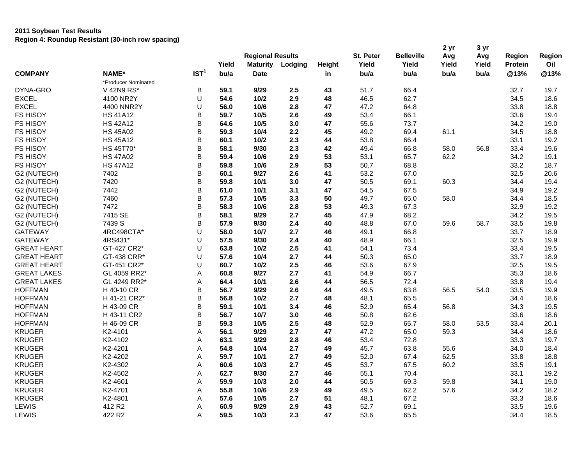|                    |                     |                  | Yield | <b>Regional Results</b><br><b>Maturity</b> | Lodging | Height | St. Peter<br>Yield | <b>Belleville</b><br>Yield | 2 yr<br>Avg<br>Yield | 3 yr<br>Avg<br>Yield | Region<br><b>Protein</b> | Region<br>Oil |
|--------------------|---------------------|------------------|-------|--------------------------------------------|---------|--------|--------------------|----------------------------|----------------------|----------------------|--------------------------|---------------|
| <b>COMPANY</b>     | NAME*               | IST <sup>1</sup> | bu/a  | <b>Date</b>                                |         | in     | bu/a               | bu/a                       | bu/a                 | bu/a                 | @13%                     | @13%          |
|                    | *Producer Nominated |                  |       |                                            |         |        |                    |                            |                      |                      |                          |               |
| DYNA-GRO           | V 42N9 RS*          | B                | 59.1  | 9/29                                       | 2.5     | 43     | 51.7               | 66.4                       |                      |                      | 32.7                     | 19.7          |
| <b>EXCEL</b>       | 4100 NR2Y           | U                | 54.6  | 10/2                                       | 2.9     | 48     | 46.5               | 62.7                       |                      |                      | 34.5                     | 18.6          |
| <b>EXCEL</b>       | 4400 NNR2Y          | U                | 56.0  | 10/6                                       | 2.8     | 47     | 47.2               | 64.8                       |                      |                      | 33.8                     | 18.8          |
| <b>FS HISOY</b>    | <b>HS 41A12</b>     | B                | 59.7  | 10/5                                       | 2.6     | 49     | 53.4               | 66.1                       |                      |                      | 33.6                     | 19.4          |
| <b>FS HISOY</b>    | <b>HS 42A12</b>     | B                | 64.6  | 10/5                                       | 3.0     | 47     | 55.6               | 73.7                       |                      |                      | 34.2                     | 19.0          |
| FS HISOY           | <b>HS 45A02</b>     | B                | 59.3  | 10/4                                       | 2.2     | 45     | 49.2               | 69.4                       | 61.1                 |                      | 34.5                     | 18.8          |
| FS HISOY           | <b>HS 45A12</b>     | B                | 60.1  | 10/2                                       | 2.3     | 44     | 53.8               | 66.4                       |                      |                      | 33.1                     | 19.2          |
| FS HISOY           | HS 45T70*           | B                | 58.1  | 9/30                                       | 2.3     | 42     | 49.4               | 66.8                       | 58.0                 | 56.8                 | 33.4                     | 19.6          |
| FS HISOY           | <b>HS 47A02</b>     | B                | 59.4  | 10/6                                       | 2.9     | 53     | 53.1               | 65.7                       | 62.2                 |                      | 34.2                     | 19.1          |
| FS HISOY           | <b>HS 47A12</b>     | B                | 59.8  | 10/6                                       | 2.9     | 53     | 50.7               | 68.8                       |                      |                      | 33.2                     | 18.7          |
| G2 (NUTECH)        | 7402                | B                | 60.1  | 9/27                                       | 2.6     | 41     | 53.2               | 67.0                       |                      |                      | 32.5                     | 20.6          |
| G2 (NUTECH)        | 7420                | B                | 59.8  |                                            | 3.0     | 47     | 50.5               | 69.1                       | 60.3                 |                      | 34.4                     | 19.4          |
|                    | 7442                | B                | 61.0  | 10/1<br>10/1                               | 3.1     | 47     |                    | 67.5                       |                      |                      | 34.9                     |               |
| G2 (NUTECH)        | 7460                | B                | 57.3  | 10/5                                       | 3.3     | 50     | 54.5<br>49.7       | 65.0                       | 58.0                 |                      |                          | 19.2<br>18.5  |
| G2 (NUTECH)        | 7472                | B                | 58.3  |                                            | 2.8     | 53     |                    | 67.3                       |                      |                      | 34.4<br>32.9             | 19.2          |
| G2 (NUTECH)        | 7415 SE             | B                | 58.1  | 10/6<br>9/29                               | 2.7     | 45     | 49.3<br>47.9       |                            |                      |                      | 34.2                     |               |
| G2 (NUTECH)        | 7439 S              | B                | 57.9  | 9/30                                       | 2.4     |        |                    | 68.2                       | 59.6                 | 58.7                 |                          | 19.5          |
| G2 (NUTECH)        |                     | U                |       |                                            |         | 40     | 48.8               | 67.0                       |                      |                      | 33.5                     | 19.8          |
| <b>GATEWAY</b>     | 4RC498CTA*          |                  | 58.0  | 10/7                                       | 2.7     | 46     | 49.1               | 66.8                       |                      |                      | 33.7                     | 18.9          |
| <b>GATEWAY</b>     | 4RS431*             | U                | 57.5  | 9/30                                       | 2.4     | 40     | 48.9               | 66.1                       |                      |                      | 32.5                     | 19.9          |
| <b>GREAT HEART</b> | GT-427 CR2*         | U                | 63.8  | 10/2                                       | 2.5     | 41     | 54.1               | 73.4                       |                      |                      | 33.4                     | 19.5          |
| <b>GREAT HEART</b> | GT-438 CRR*         | U                | 57.6  | 10/4                                       | 2.7     | 44     | 50.3               | 65.0                       |                      |                      | 33.7                     | 18.9          |
| <b>GREAT HEART</b> | GT-451 CR2*         | U                | 60.7  | 10/2                                       | 2.5     | 46     | 53.6               | 67.9                       |                      |                      | 32.5                     | 19.5          |
| <b>GREAT LAKES</b> | GL 4059 RR2*        | А                | 60.8  | 9/27                                       | 2.7     | 41     | 54.9               | 66.7                       |                      |                      | 35.3                     | 18.6          |
| <b>GREAT LAKES</b> | GL 4249 RR2*        | А                | 64.4  | 10/1                                       | 2.6     | 44     | 56.5               | 72.4                       |                      |                      | 33.8                     | 19.4          |
| <b>HOFFMAN</b>     | H 40-10 CR          | B                | 56.7  | 9/29                                       | 2.6     | 44     | 49.5               | 63.8                       | 56.5                 | 54.0                 | 33.5                     | 19.9          |
| <b>HOFFMAN</b>     | H 41-21 CR2*        | B                | 56.8  | 10/2                                       | 2.7     | 48     | 48.1               | 65.5                       |                      |                      | 34.4                     | 18.6          |
| <b>HOFFMAN</b>     | H 43-09 CR          | B                | 59.1  | 10/1                                       | 3.4     | 46     | 52.9               | 65.4                       | 56.8                 |                      | 34.3                     | 19.5          |
| <b>HOFFMAN</b>     | H 43-11 CR2         | B                | 56.7  | 10/7                                       | 3.0     | 46     | 50.8               | 62.6                       |                      |                      | 33.6                     | 18.6          |
| <b>HOFFMAN</b>     | H 46-09 CR          | B                | 59.3  | 10/5                                       | 2.5     | 48     | 52.9               | 65.7                       | 58.0                 | 53.5                 | 33.4                     | 20.1          |
| <b>KRUGER</b>      | K2-4101             | A                | 56.1  | 9/29                                       | 2.7     | 47     | 47.2               | 65.0                       | 59.3                 |                      | 34.4                     | 18.6          |
| <b>KRUGER</b>      | K2-4102             | Α                | 63.1  | 9/29                                       | 2.8     | 46     | 53.4               | 72.8                       |                      |                      | 33.3                     | 19.7          |
| <b>KRUGER</b>      | K2-4201             | А                | 54.8  | 10/4                                       | 2.7     | 49     | 45.7               | 63.8                       | 55.6                 |                      | 34.0                     | 18.4          |
| <b>KRUGER</b>      | K2-4202             | Α                | 59.7  | 10/1                                       | 2.7     | 49     | 52.0               | 67.4                       | 62.5                 |                      | 33.8                     | 18.8          |
| <b>KRUGER</b>      | K2-4302             | Α                | 60.6  | 10/3                                       | 2.7     | 45     | 53.7               | 67.5                       | 60.2                 |                      | 33.5                     | 19.1          |
| <b>KRUGER</b>      | K2-4502             | А                | 62.7  | 9/30                                       | 2.7     | 46     | 55.1               | 70.4                       |                      |                      | 33.1                     | 19.2          |
| <b>KRUGER</b>      | K2-4601             | Α                | 59.9  | 10/3                                       | 2.0     | 44     | 50.5               | 69.3                       | 59.8                 |                      | 34.1                     | 19.0          |
| <b>KRUGER</b>      | K2-4701             | Α                | 55.8  | 10/6                                       | 2.9     | 49     | 49.5               | 62.2                       | 57.6                 |                      | 34.2                     | 18.2          |
| <b>KRUGER</b>      | K2-4801             | Α                | 57.6  | 10/5                                       | 2.7     | 51     | 48.1               | 67.2                       |                      |                      | 33.3                     | 18.6          |
| LEWIS              | 412 R2              | Α                | 60.9  | 9/29                                       | 2.9     | 43     | 52.7               | 69.1                       |                      |                      | 33.5                     | 19.6          |
| LEWIS              | 422 R2              | Α                | 59.5  | 10/3                                       | 2.3     | 47     | 53.6               | 65.5                       |                      |                      | 34.4                     | 18.5          |